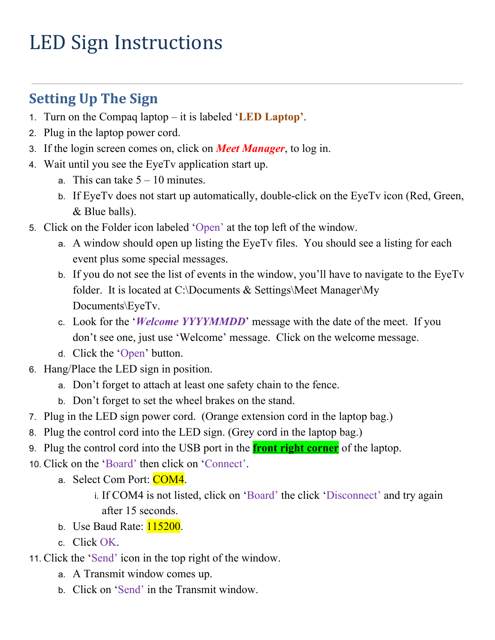# LED Sign Instructions

## **Setting Up The Sign**

- 1. Turn on the Compaq laptop it is labeled '**LED Laptop'**.
- 2. Plug in the laptop power cord.
- 3. If the login screen comes on, click on *Meet Manager*, to log in.
- 4. Wait until you see the EyeTv application start up.
	- a. This can take  $5 10$  minutes.
	- b. If EyeTv does not start up automatically, double-click on the EyeTv icon (Red, Green, & Blue balls).
- 5. Click on the Folder icon labeled 'Open' at the top left of the window.
	- a. A window should open up listing the EyeTv files. You should see a listing for each event plus some special messages.
	- b. If you do not see the list of events in the window, you'll have to navigate to the EyeTv folder. It is located at C:\Documents & Settings\Meet Manager\My Documents\EyeTv.
	- c. Look for the '*Welcome YYYYMMDD*' message with the date of the meet. If you don't see one, just use 'Welcome' message. Click on the welcome message.
	- d. Click the 'Open' button.
- 6. Hang/Place the LED sign in position.
	- a. Don't forget to attach at least one safety chain to the fence.
	- b. Don't forget to set the wheel brakes on the stand.
- 7. Plug in the LED sign power cord. (Orange extension cord in the laptop bag.)
- 8. Plug the control cord into the LED sign. (Grey cord in the laptop bag.)
- 9. Plug the control cord into the USB port in the **front right corner** of the laptop.
- 10. Click on the 'Board' then click on 'Connect'.
	- a. Select Com Port: COM4.
		- i. If COM4 is not listed, click on 'Board' the click 'Disconnect' and try again after 15 seconds.
	- b. Use Baud Rate:  $115200$ .
	- c. Click OK.
- 11. Click the 'Send' icon in the top right of the window.
	- a. A Transmit window comes up.
	- b. Click on 'Send' in the Transmit window.